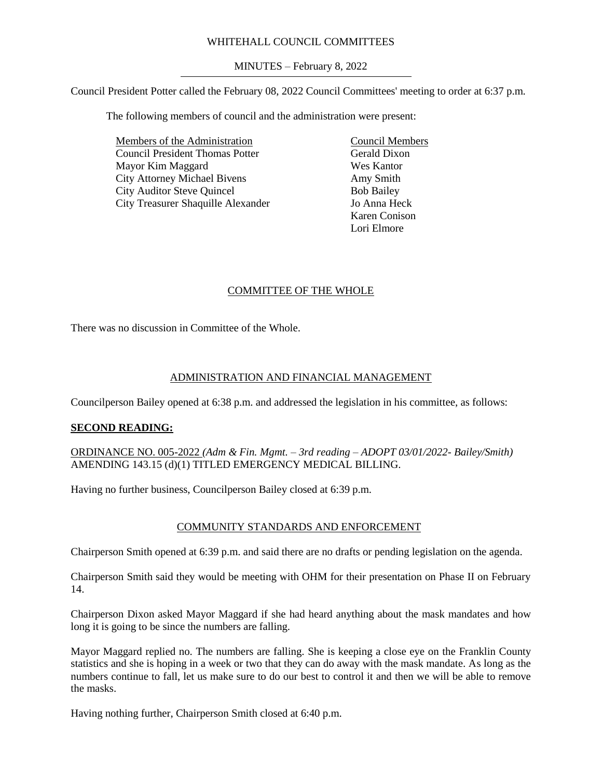### WHITEHALL COUNCIL COMMITTEES

MINUTES – February 8, 2022

Council President Potter called the February 08, 2022 Council Committees' meeting to order at 6:37 p.m.

The following members of council and the administration were present:

Members of the Administration Council President Thomas Potter Mayor Kim Maggard City Attorney Michael Bivens City Auditor Steve Quincel City Treasurer Shaquille Alexander

Council Members Gerald Dixon Wes Kantor Amy Smith Bob Bailey Jo Anna Heck Karen Conison Lori Elmore

# COMMITTEE OF THE WHOLE

There was no discussion in Committee of the Whole.

# ADMINISTRATION AND FINANCIAL MANAGEMENT

Councilperson Bailey opened at 6:38 p.m. and addressed the legislation in his committee, as follows:

# **SECOND READING:**

ORDINANCE NO. 005-2022 *(Adm & Fin. Mgmt. – 3rd reading – ADOPT 03/01/2022- Bailey/Smith)* AMENDING 143.15 (d)(1) TITLED EMERGENCY MEDICAL BILLING.

Having no further business, Councilperson Bailey closed at 6:39 p.m.

# COMMUNITY STANDARDS AND ENFORCEMENT

Chairperson Smith opened at 6:39 p.m. and said there are no drafts or pending legislation on the agenda.

Chairperson Smith said they would be meeting with OHM for their presentation on Phase II on February 14.

Chairperson Dixon asked Mayor Maggard if she had heard anything about the mask mandates and how long it is going to be since the numbers are falling.

Mayor Maggard replied no. The numbers are falling. She is keeping a close eye on the Franklin County statistics and she is hoping in a week or two that they can do away with the mask mandate. As long as the numbers continue to fall, let us make sure to do our best to control it and then we will be able to remove the masks.

Having nothing further, Chairperson Smith closed at 6:40 p.m.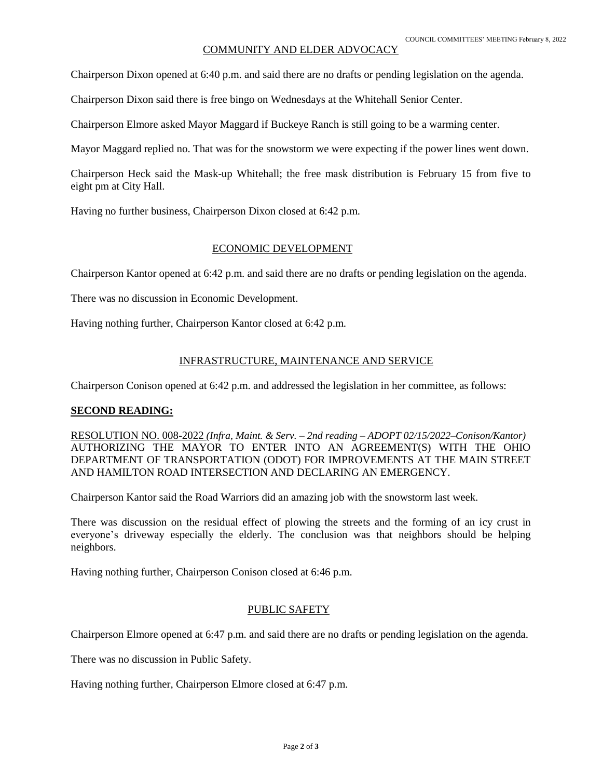### COMMUNITY AND ELDER ADVOCACY

Chairperson Dixon opened at 6:40 p.m. and said there are no drafts or pending legislation on the agenda.

Chairperson Dixon said there is free bingo on Wednesdays at the Whitehall Senior Center.

Chairperson Elmore asked Mayor Maggard if Buckeye Ranch is still going to be a warming center.

Mayor Maggard replied no. That was for the snowstorm we were expecting if the power lines went down.

Chairperson Heck said the Mask-up Whitehall; the free mask distribution is February 15 from five to eight pm at City Hall.

Having no further business, Chairperson Dixon closed at 6:42 p.m.

### ECONOMIC DEVELOPMENT

Chairperson Kantor opened at 6:42 p.m. and said there are no drafts or pending legislation on the agenda.

There was no discussion in Economic Development.

Having nothing further, Chairperson Kantor closed at 6:42 p.m.

#### INFRASTRUCTURE, MAINTENANCE AND SERVICE

Chairperson Conison opened at 6:42 p.m. and addressed the legislation in her committee, as follows:

#### **SECOND READING:**

RESOLUTION NO. 008-2022 *(Infra, Maint. & Serv. – 2nd reading – ADOPT 02/15/2022–Conison/Kantor)* AUTHORIZING THE MAYOR TO ENTER INTO AN AGREEMENT(S) WITH THE OHIO DEPARTMENT OF TRANSPORTATION (ODOT) FOR IMPROVEMENTS AT THE MAIN STREET AND HAMILTON ROAD INTERSECTION AND DECLARING AN EMERGENCY.

Chairperson Kantor said the Road Warriors did an amazing job with the snowstorm last week.

There was discussion on the residual effect of plowing the streets and the forming of an icy crust in everyone's driveway especially the elderly. The conclusion was that neighbors should be helping neighbors.

Having nothing further, Chairperson Conison closed at 6:46 p.m.

#### PUBLIC SAFETY

Chairperson Elmore opened at 6:47 p.m. and said there are no drafts or pending legislation on the agenda.

There was no discussion in Public Safety.

Having nothing further, Chairperson Elmore closed at 6:47 p.m.